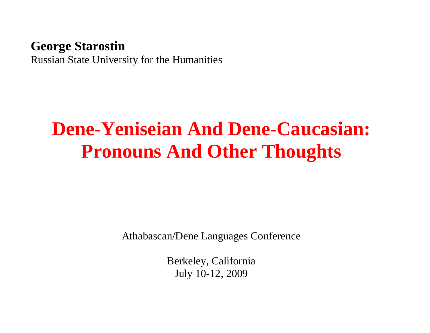#### **George Starostin**

Russian State University for the Humanities

# **Dene-Yeniseian And Dene-Caucasian: Pronouns And Other Thoughts**

Athabascan/Dene Languages Conference

Berkeley, California July 10-12, 2009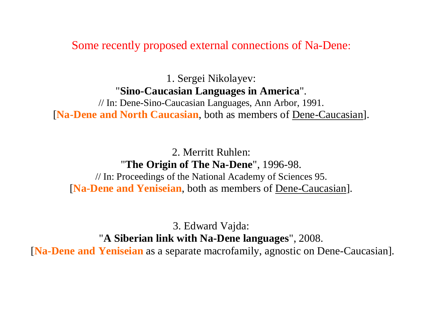Some recently proposed external connections of Na-Dene:

1. Sergei Nikolayev: "**Sino-Caucasian Languages in America**". // In: Dene-Sino-Caucasian Languages, Ann Arbor, 1991.

[**Na-Dene and North Caucasian**, both as members of Dene-Caucasian].

2. Merritt Ruhlen: "**The Origin of The Na-Dene**" , 1996-98. // In: Proceedings of the National Academy of Sciences 95. [**Na-Dene and Yeniseian**, both as members of Dene-Caucasian].

3. Edward Vajda: "**A Siberian link with Na-Dene languages**" , 2008.

[**Na-Dene and Yeniseian** as a separate macrofamily, agnostic on Dene-Caucasian].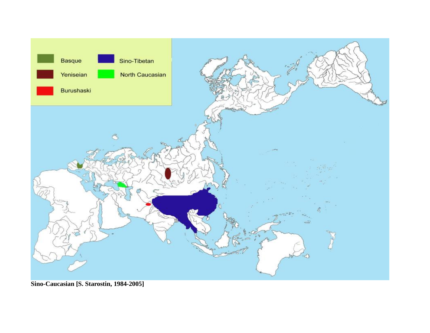

**Sino-Caucasian [S. Starostin, 1984-2005]**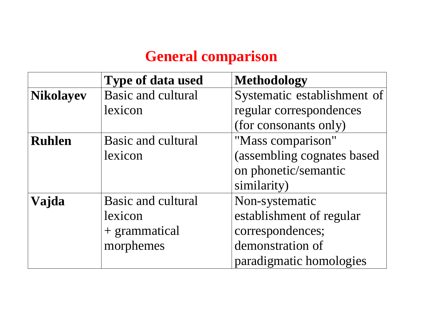## **General comparison**

|                  | <b>Type of data used</b>  | <b>Methodology</b>          |
|------------------|---------------------------|-----------------------------|
| <b>Nikolayev</b> | <b>Basic and cultural</b> | Systematic establishment of |
|                  | lexicon                   | regular correspondences     |
|                  |                           | (for consonants only)       |
| <b>Ruhlen</b>    | <b>Basic and cultural</b> | "Mass comparison"           |
|                  | lexicon                   | (assembling cognates based  |
|                  |                           | on phonetic/semantic        |
|                  |                           | similarity)                 |
| Vajda            | <b>Basic and cultural</b> | Non-systematic              |
|                  | lexicon                   | establishment of regular    |
|                  | + grammatical             | correspondences;            |
|                  | morphemes                 | demonstration of            |
|                  |                           | paradigmatic homologies     |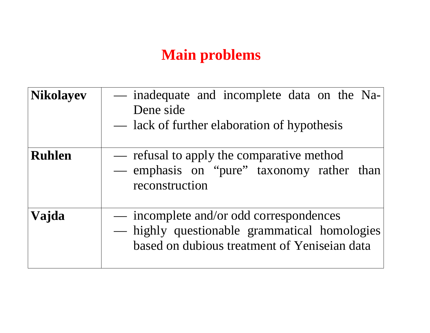## **Main problems**

| <b>Nikolayev</b> | - inadequate and incomplete data on the Na-<br>Dene side<br>— lack of further elaboration of hypothesis                                 |
|------------------|-----------------------------------------------------------------------------------------------------------------------------------------|
| <b>Ruhlen</b>    | — refusal to apply the comparative method<br>— emphasis on "pure" taxonomy rather than<br>reconstruction                                |
| Vajda            | — incomplete and/or odd correspondences<br>- highly questionable grammatical homologies<br>based on dubious treatment of Yeniseian data |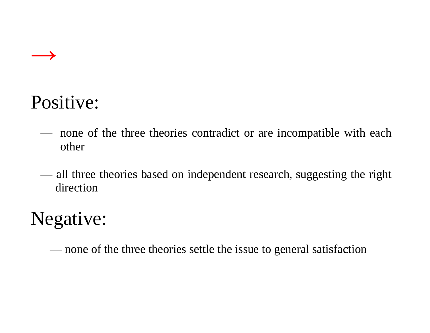

# Positive:

- none of the three theories contradict or are incompatible with each other
- all three theories based on independent research, suggesting the right direction

# Negative:

— none of the three theories settle the issue to general satisfaction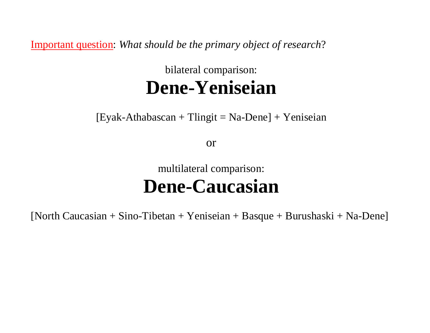Important question: *What should be the primary object of research*?

## bilateral comparison: **Dene-Yeniseian**

 $[Exak-Athabascan + Tlingit = Na-Dene] + Yeniseian$ 

or

## multilateral comparison: **Dene-Caucasian**

[North Caucasian + Sino-Tibetan + Yeniseian + Basque + Burushaski + Na-Dene]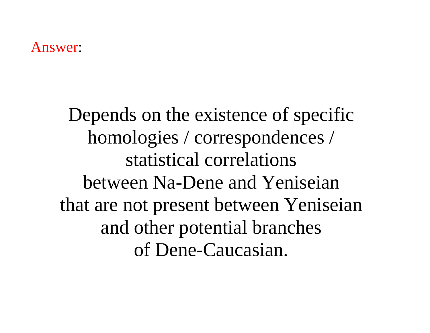#### Answer:

Depends on the existence of specific homologies / correspondences / statistical correlations between Na-Dene and Yeniseian that are not present between Yeniseian and other potential branches of Dene-Caucasian.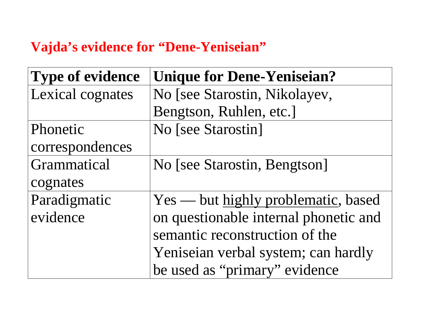### **Vajda's evidence for "Dene-Yeniseian"**

| <b>Type of evidence</b> | <b>Unique for Dene-Yeniseian?</b>     |  |
|-------------------------|---------------------------------------|--|
| Lexical cognates        | No [see Starostin, Nikolayev,         |  |
|                         | Bengtson, Ruhlen, etc.]               |  |
| Phonetic                | No [see Starostin]                    |  |
| correspondences         |                                       |  |
| Grammatical             | No [see Starostin, Bengtson]          |  |
| cognates                |                                       |  |
| Paradigmatic            | Yes — but highly problematic, based   |  |
| evidence                | on questionable internal phonetic and |  |
|                         | semantic reconstruction of the        |  |
|                         | Yeniseian verbal system; can hardly   |  |
|                         | be used as "primary" evidence         |  |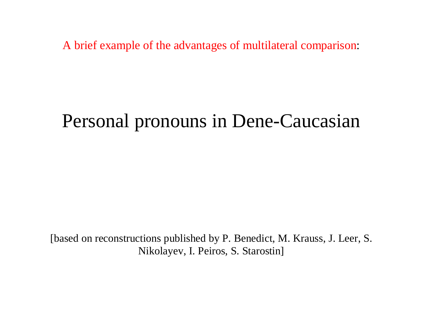A brief example of the advantages of multilateral comparison:

## Personal pronouns in Dene-Caucasian

[based on reconstructions published by P. Benedict, M. Krauss, J. Leer, S. Nikolayev, I. Peiros, S. Starostin]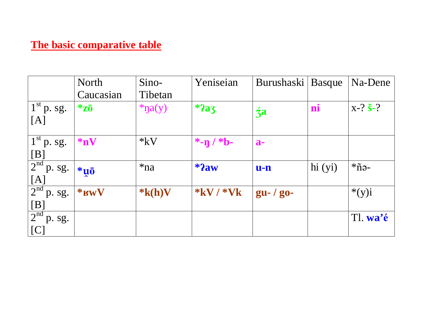#### **The basic comparative table**

|                                                     | <b>North</b>   | Sino-       | Yeniseian       | Burushaski    | Basque  | Na-Dene         |
|-----------------------------------------------------|----------------|-------------|-----------------|---------------|---------|-----------------|
|                                                     | Caucasian      | Tibetan     |                 |               |         |                 |
| $1st$ p. sg.                                        | $*_{Z\bar{0}}$ | $*na(y)$    | $*2a_3$         | $\dot{z}$ a   | ni      | $X-? S-?$       |
| [A]                                                 |                |             |                 |               |         |                 |
| $1st$ p. sg.                                        | $*_{nV}$       | $*_{kV}$    | *- $\eta$ / *b- | $a-$          |         |                 |
| [B]                                                 |                |             |                 |               |         |                 |
| 2 <sup>nd</sup><br>p. sg.                           | $\ast$ uō      | $*na$       | $*2aw$          | $u-n$         | hi (yi) | $*\tilde{n}$ ə- |
| [A]                                                 |                |             |                 |               |         |                 |
| $\frac{1}{2^{nd}}\overline{p}\cdot \overline{sg}$ . | $*RW$          | $*_{k(h)V}$ | $*$ kV / $*$ Vk | $gu - / go -$ |         | $*(y)i$         |
| $[{\rm B}]$                                         |                |             |                 |               |         |                 |
| $\frac{1}{2^{nd}}$ p. sg.                           |                |             |                 |               |         | Tl. wa'é        |
| [C]                                                 |                |             |                 |               |         |                 |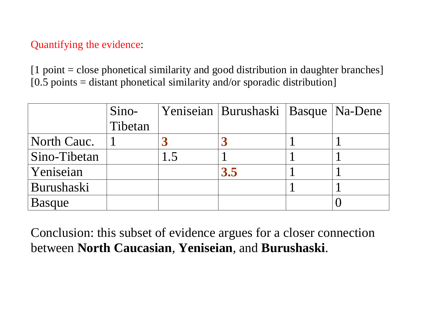#### Quantifying the evidence:

[1 point = close phonetical similarity and good distribution in daughter branches]  $[0.5 \text{ points} = \text{distant}$  phonetical similarity and/or sporadic distribution]

|               | Sino-   | Yeniseian   Burushaski   Basque   Na-Dene |  |
|---------------|---------|-------------------------------------------|--|
|               | Tibetan |                                           |  |
| North Cauc.   |         |                                           |  |
| Sino-Tibetan  |         |                                           |  |
| Yeniseian     |         | 3.5                                       |  |
| Burushaski    |         |                                           |  |
| <b>Basque</b> |         |                                           |  |

Conclusion: this subset of evidence argues for a closer connection between **North Caucasian**, **Yeniseian**, and **Burushaski**.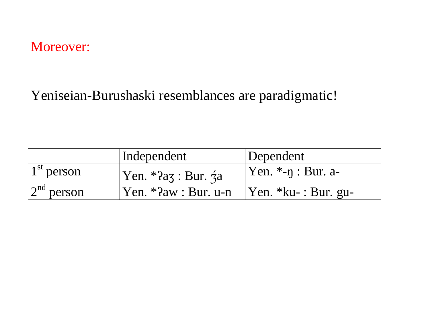### Moreover:

### Yeniseian-Burushaski resemblances are paradigmatic!

|              | Independent                                          | Dependent                       |
|--------------|------------------------------------------------------|---------------------------------|
| $1st$ person | Yen. $*2a\overline{3}$ : Bur. $\overline{3}a$        | $ $ Yen. $*$ - $\eta$ : Bur. a- |
| $2nd$ person | $\gamma$ Yen. *?aw : Bur. u-n   Yen. *ku- : Bur. gu- |                                 |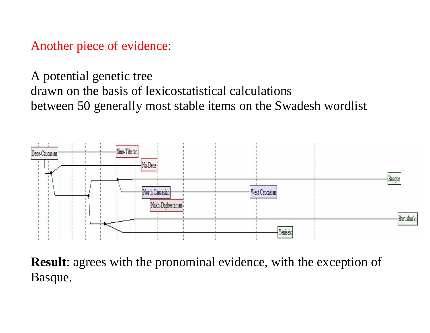Another piece of evidence:

A potential genetic tree drawn on the basis of lexicostatistical calculations between 50 generally most stable items on the Swadesh wordlist



**Result**: agrees with the pronominal evidence, with the exception of Basque.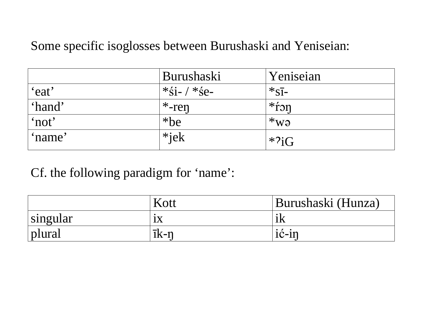#### Some specific isoglosses between Burushaski and Yeniseian:

|        | Burushaski            | Yeniseian            |
|--------|-----------------------|----------------------|
| 'eat'  | $*\xi$ i- / $*\xi$ e- | $*_{\rm S\bar{1}-}$  |
| 'hand' | $*$ -ren              | $*$ fon              |
| 'not'  | $*$ be                | $*_{\rm W\vartheta}$ |
| 'name' | $*$ jek               | $*2iG$               |

Cf. the following paradigm for 'name':

|          | Kott         | Burushaski (Hunza) |
|----------|--------------|--------------------|
| singular | 1X           |                    |
| plural   | $\bar{1}k-n$ | $1C-11$            |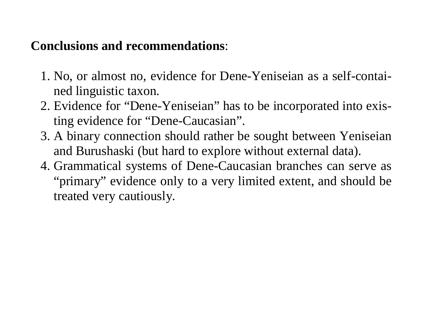### **Conclusions and recommendations**:

- 1. No, or almost no, evidence for Dene-Yeniseian as a self-contained linguistic taxon.
- 2. Evidence for "Dene-Yeniseian" has to be incorporated into existing evidence for "Dene-Caucasian".
- 3. A binary connection should rather be sought between Yeniseian and Burushaski (but hard to explore without external data).
- 4. Grammatical systems of Dene-Caucasian branches can serve as "primary" evidence only to a very limited extent, and should be treated very cautiously.